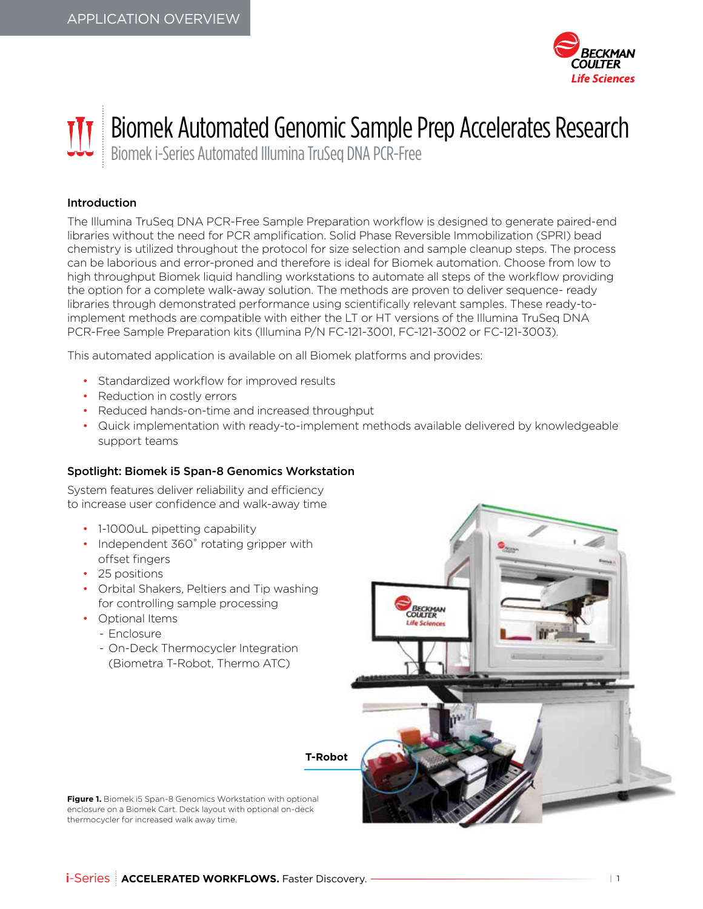

# Biomek Automated Genomic Sample Prep Accelerates Research

Biomek i-Series Automated Illumina TruSeq DNA PCR-Free

## Introduction

The Illumina TruSeq DNA PCR-Free Sample Preparation workflow is designed to generate paired-end libraries without the need for PCR amplification. Solid Phase Reversible Immobilization (SPRI) bead chemistry is utilized throughout the protocol for size selection and sample cleanup steps. The process can be laborious and error-proned and therefore is ideal for Biomek automation. Choose from low to high throughput Biomek liquid handling workstations to automate all steps of the workflow providing the option for a complete walk-away solution. The methods are proven to deliver sequence- ready libraries through demonstrated performance using scientifically relevant samples. These ready-toimplement methods are compatible with either the LT or HT versions of the Illumina TruSeq DNA PCR-Free Sample Preparation kits (Illumina P/N FC-121-3001, FC-121-3002 or FC-121-3003).

This automated application is available on all Biomek platforms and provides:

- Standardized workflow for improved results
- Reduction in costly errors
- Reduced hands-on-time and increased throughput
- Quick implementation with ready-to-implement methods available delivered by knowledgeable support teams

### Spotlight: Biomek i5 Span-8 Genomics Workstation

System features deliver reliability and efficiency to increase user confidence and walk-away time

- 1-1000uL pipetting capability
- Independent 360° rotating gripper with offset fingers
- 25 positions
- Orbital Shakers, Peltiers and Tip washing for controlling sample processing
- Optional Items
	- Enclosure
	- On-Deck Thermocycler Integration (Biometra T-Robot, Thermo ATC)



**T-Robot**

**Figure 1.** Biomek i5 Span-8 Genomics Workstation with optional enclosure on a Biomek Cart. Deck layout with optional on-deck thermocycler for increased walk away time.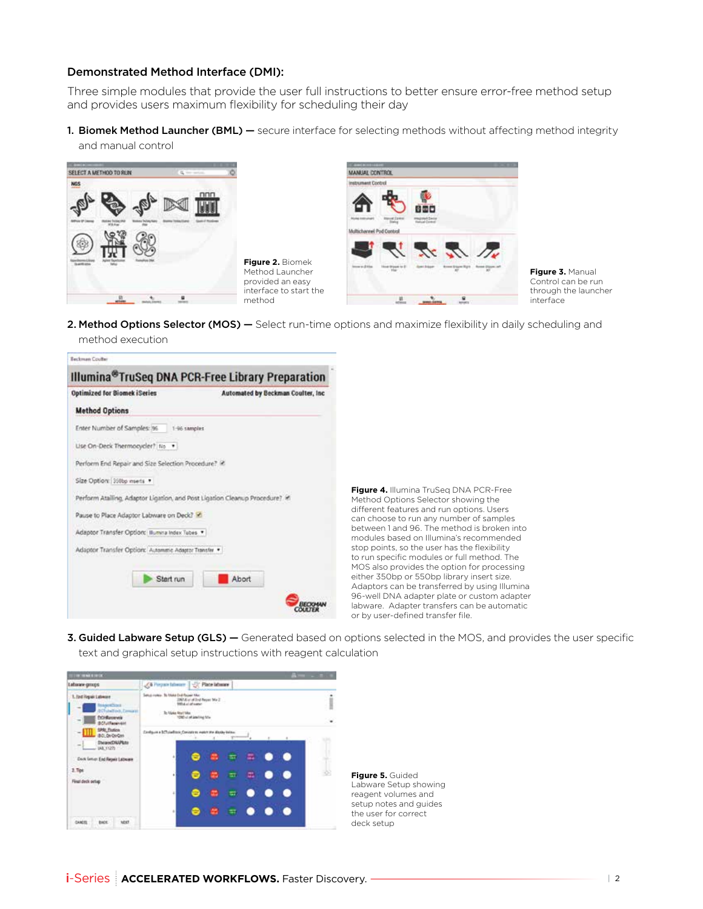#### Demonstrated Method Interface (DMI):

Three simple modules that provide the user full instructions to better ensure error-free method setup and provides users maximum flexibility for scheduling their day

1. Biomek Method Launcher (BML) — secure interface for selecting methods without affecting method integrity and manual control



method execution

**Figure 2.** Biomek Method Launcher provided an easy interface to start the method



**Figure 3.** Manual Control can be run through the launcher interface

2. Method Options Selector (MOS) — Select run-time options and maximize flexibility in daily scheduling and

| <b>Optimized for Biomek iSeries</b>                                         | Automated by Beckman Coulter, Inc. |
|-----------------------------------------------------------------------------|------------------------------------|
| <b>Method Options</b>                                                       |                                    |
| Enter Number of Samples: 36<br>1-96 samples                                 |                                    |
| Lise On-Deck Thermocycler? No                                               |                                    |
| Perform End Repair and Size Selection Procedure? @                          |                                    |
| Size Option: 350bp moets *                                                  |                                    |
| Perform Atailing, Adaptor Ligation, and Post Ligation Cleanup Procedure? in |                                    |
| Pause to Place Adaptor Labware on Deck?                                     |                                    |
| Adaptor Transfer Option: Illumina Index Tubes                               |                                    |
| Adaptor Transfer Option: Automatic Adaptor Transfer                         |                                    |
|                                                                             |                                    |
| Start run                                                                   | Abort                              |

**Figure 4.** Illumina TruSeq DNA PCR-Free Method Options Selector showing the different features and run options. Users can choose to run any number of samples between 1 and 96. The method is broken into modules based on Illumina's recommended stop points, so the user has the flexibility to run specific modules or full method. The MOS also provides the option for processing either 350bp or 550bp library insert size. Adaptors can be transferred by using Illumina 96-well DNA adapter plate or custom adapter labware. Adapter transfers can be automatic or by user-defined transfer file.

3. Guided Labware Setup (GLS) - Generated based on options selected in the MOS, and provides the user specific text and graphical setup instructions with reagent calculation



**Figure 5.** Guided Labware Setup showing reagent volumes and setup notes and guides the user for correct deck setup